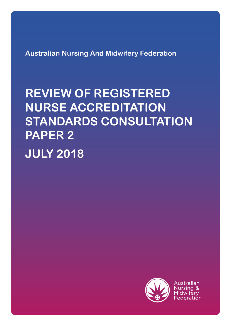**Australian Nursing And Midwifery Federation**

# **REVIEW OF REGISTERED NURSE ACCREDITATION STANDARDS CONSULTATION PAPER 2**

**JULY 2018**



Australian Nursing & Midwiferv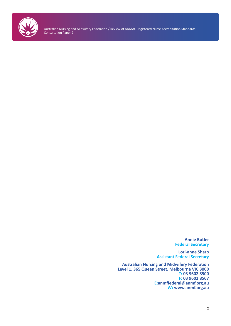

> **Annie Butler Federal Secretary**

**Lori-anne Sharp Assistant Federal Secretary**

**Australian Nursing and Midwifery Federation Level 1, 365 Queen Street, Melbourne VIC 3000 T: 03 9602 8500 F: 03 9602 8567 E:anmffederal@anmf.org.au W: www.anmf.org.au**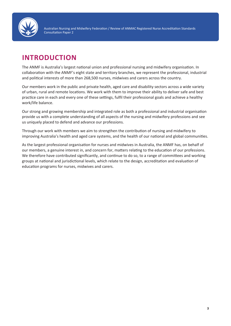

# **INTRODUCTION**

The ANMF is Australia's largest national union and professional nursing and midwifery organisation. In collaboration with the ANMF's eight state and territory branches, we represent the professional, industrial and political interests of more than 268,500 nurses, midwives and carers across the country.

Our members work in the public and private health, aged care and disability sectors across a wide variety of urban, rural and remote locations. We work with them to improve their ability to deliver safe and best practice care in each and every one of these settings, fulfil their professional goals and achieve a healthy work/life balance.

Our strong and growing membership and integrated role as both a professional and industrial organisation provide us with a complete understanding of all aspects of the nursing and midwifery professions and see us uniquely placed to defend and advance our professions.

Through our work with members we aim to strengthen the contribution of nursing and midwifery to improving Australia's health and aged care systems, and the health of our national and global communities.

As the largest professional organisation for nurses and midwives in Australia, the ANMF has, on behalf of our members, a genuine interest in, and concern for, matters relating to the education of our professions. We therefore have contributed significantly, and continue to do so, to a range of committees and working groups at national and jurisdictional levels, which relate to the design, accreditation and evaluation of education programs for nurses, midwives and carers.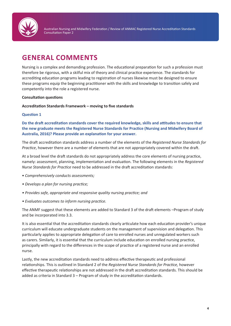

# **GENERAL COMMENTS**

Nursing is a complex and demanding profession. The educational preparation for such a profession must therefore be rigorous, with a skilful mix of theory and clinical practice experience. The standards for accrediting education programs leading to registration of nurses likewise must be designed to ensure these programs equip the beginning practitioner with the skills and knowledge to transition safely and competently into the role a registered nurse.

# **Consultation questions**

# **Accreditation Standards Framework – moving to five standards**

# **Question 1**

**Do the draft accreditation standards cover the required knowledge, skills and attitudes to ensure that the new graduate meets the Registered Nurse Standards for Practice (Nursing and Midwifery Board of Australia, 2016)? Please provide an explanation for your answer.**

The draft accreditation standards address a number of the elements of the *Registered Nurse Standards for Practice*, however there are a number of elements that are not appropriately covered within the draft.

At a broad level the draft standards do not appropriately address the core elements of nursing practice, namely: assessment, planning, implementation and evaluation. The following elements in the *Registered Nurse Standards for Practice* need to be addressed in the draft accreditation standards:

- *Comprehensively conducts assessments;*
- *Develops a plan for nursing practice;*
- *Provides safe, appropriate and responsive quality nursing practice; and*
- *Evaluates outcomes to inform nursing practice.*

The ANMF suggest that these elements are added to Standard 3 of the draft elements –Program of study and be incorporated into 3.3.

It is also essential that the accreditation standards clearly articulate how each education provider's unique curriculum will educate undergraduate students on the management of supervision and delegation. This particularly applies to appropriate delegation of care to enrolled nurses and unregulated workers such as carers. Similarly, it is essential that the curriculum include education on enrolled nursing practice, principally with regard to the differences in the scope of practice of a registered nurse and an enrolled nurse.

Lastly, the new accreditation standards need to address effective therapeutic and professional relationships. This is outlined in Standard 2 of the *Registered Nurse Standards for Practice,* however effective therapeutic relationships are not addressed in the draft accreditation standards. This should be added as criteria in Standard 3 – Program of study in the accreditation standards.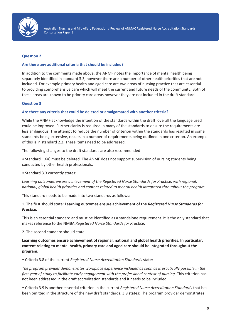

### **Question 2**

#### **Are there any additional criteria that should be included?**

In addition to the comments made above, the ANMF notes the importance of mental health being separately identified in standard 3.3, however there are a number of other health priorities that are not included. For example primary health and aged care are two areas of nursing practice that are essential to providing comprehensive care which will meet the current and future needs of the community. Both of these areas are known to be priority care areas however they are not included in the draft standard.

#### **Question 3**

# **Are there any criteria that could be deleted or amalgamated with another criteria?**

While the ANMF acknowledge the intention of the standards within the draft, overall the language used could be improved. Further clarity is required in many of the standards to ensure the requirements are less ambiguous. The attempt to reduce the number of criterion within the standards has resulted in some standards being extensive, results in a number of requirements being outlined in one criterion. An example of this is in standard 2.2. These items need to be addressed.

The following changes to the draft standards are also recommended:

• Standard 1.6a) must be deleted. The ANMF does not support supervision of nursing students being conducted by other health professionals.

• Standard 3.3 currently states:

*Learning outcomes ensure achievement of the Registered Nurse Standards for Practice, with regional, national, global health priorities and content related to mental health integrated throughout the program.* 

This standard needs to be made into two standards as follows:

1. The first should state: **Learning outcomes ensure achievement of the** *Registered Nurse Standards for Practice.*

This is an essential standard and must be identified as a standalone requirement. It is the only standard that makes reference to the NMBA *Registered Nurse Standards for Practice*.

2. The second standard should state:

**Learning outcomes ensure achievement of regional, national and global health priorities. In particular, content relating to mental health, primary care and aged care should be integrated throughout the program.** 

• Criteria 3.8 of the current *Registered Nurse Accreditation Standards* state:

*The program provider demonstrates workplace experience included as soon as is practically possible in the first year of study to facilitate early engagement with the professional context of nursing.* This criterion has not been addressed in the draft accreditation standards and it needs to be included.

• Criteria 3.9 is another essential criterion in the current *Registered Nurse Accreditation Standards* that has been omitted in the structure of the new draft standards. 3.9 states: The program provider demonstrates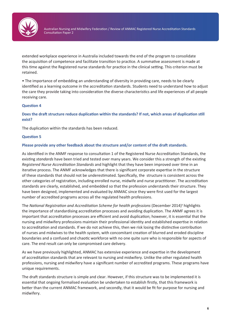

extended workplace experience in Australia included towards the end of the program to consolidate the acquisition of competence and facilitate transition to practice. A summative assessment is made at this time against the Registered nurse standards for practice in the clinical setting. This criterion must be retained.

• The importance of embedding an understanding of diversity in providing care, needs to be clearly identified as a learning outcome in the accreditation standards. Students need to understand how to adjust the care they provide taking into consideration the diverse characteristics and life experiences of all people receiving care.

# **Question 4**

**Does the draft structure reduce duplication within the standards? If not, which areas of duplication still exist?**

The duplication within the standards has been reduced.

#### **Question 5**

#### **Please provide any other feedback about the structure and/or content of the draft standards.**

As identified in the ANMF response to consultation 1 of the Registered Nurse Accreditation Standards, the existing *standards* have been tried and tested over many years. We consider this a strength of the existing *Registered Nurse Accreditation Standards* and highlight that they have been improved over time in an iterative process. The ANMF acknowledges that there is significant corporate expertise in the structure of these standards that should not be underestimated. Specifically, the structure is consistent across the other categories of registration, including enrolled nurse, midwife and nurse practitioner. The accreditation standards are clearly, established, and embedded so that the profession understands their structure. They have been designed, implemented and evaluated by ANMAC since they were first used for the largest number of accredited programs across all the regulated health professions.

The *National Registration and Accreditation Scheme for health professions* (December 2014)1 highlights the importance of standardising accreditation processes and avoiding duplication. The ANMF agrees it is important that accreditation processes are efficient and avoid duplication; however, it is essential that the nursing and midwifery professions maintain their professional identity and established expertise in relation to accreditation and standards. If we do not achieve this, then we risk losing the distinctive contribution of nurses and midwives to the health system, with concomitant creation of blurred and eroded discipline boundaries and a confused and chaotic workforce with no one quite sure who is responsible for aspects of care. The end result can only be compromised care delivery.

As we have previously highlighted, ANMAC has extensive experience and expertise in the development of accreditation standards that are relevant to nursing and midwifery. Unlike the other regulated health professions, nursing and midwifery have a significant number of accredited programs. These programs have unique requirements.

The draft standards structure is simple and clear. However, if this structure was to be implemented it is essential that ongoing formalised evaluation be undertaken to establish firstly, that this framework is better than the current ANMAC framework, and secondly, that it would be fit for purpose for nursing and midwifery.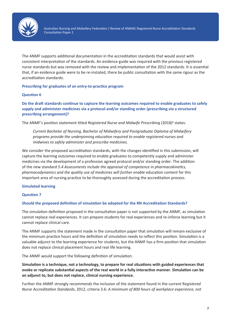

The ANMF supports additional documentation in the accreditation standards that would assist with consistent interpretation of the standards. An evidence guide was required with the previous registered nurse standards but was removed with the review and implementation of the 2012 standards. It is essential that, if an evidence guide were to be re-instated, there be public consultation with the same rigour as the accreditation standards.

# **Prescribing for graduates of an entry-to-practice program**

#### **Question 6**

**Do the draft standards continue to capture the learning outcomes required to enable graduates to safely supply and administer medicines via a protocol and/or standing order (prescribing via a structured prescribing arrangement)?**

The ANMF's position statement titled *Registered Nurse and Midwife Prescribing* (2018)<sup>2</sup> states:

*Current Bachelor of Nursing, Bachelor of Midwifery and Postgraduate Diploma of Midwifery programs provide the underpinning education required to enable registered nurses and midwives to safely administer and prescribe medicines.* 

We consider the proposed accreditation standards, with the changes identified in this submission, will capture the learning outcomes required to enable graduates to competently supply and administer medicines via the development of a profession agreed protocol and/or standing order. The addition of the new standard *5.4 Assessments include the appraisal of competence in pharmacokinetics, pharmacodynamics and the quality use of medicines will further enable* education content for this important area of nursing practice to be thoroughly assessed during the accreditation process.

# **Simulated learning**

#### **Question 7**

#### **Should the proposed definition of simulation be adopted for the RN Accreditation Standards?**

The simulation definition proposed in the consultation paper is not supported by the ANMF, as simulation cannot replace real experiences. It can prepare students for real experiences and re-inforce learning but it cannot replace clinical care.

The ANMF supports the statement made in the consultation paper that simulation will remain exclusive of the minimum practice hours and the definition of simulation needs to reflect this position. Simulation is a valuable adjunct to the learning experience for students, but the ANMF has a firm position that simulation does not replace clinical placement hours and real life learning.

The ANMF would support the following definition of simulation:

**Simulation is a technique, not a technology, to prepare for real situations with guided experiences that evoke or replicate substantial aspects of the real world in a fully interactive manner. Simulation can be an adjunct to, but does not replace, clinical nursing experience.**

Further the ANMF strongly recommends the inclusion of the statement found in the current R*egistered Nurse Accreditation Standards*, 2012, criteria 3.6: *A minimum of 800 hours of workplace experience, not*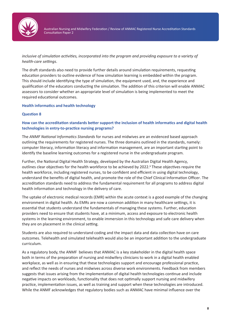

*inclusive of simulation activities, incorporated into the program and providing exposure to a variety of health-care settings*.

The draft standards also need to provide further details around simulation requirements, requesting education providers to outline evidence of how simulation learning is embedded within the program. This should include identifying the type of simulation, the equipment used, and, the experience and qualification of the educators conducting the simulation. The addition of this criterion will enable ANMAC assessors to consider whether an appropriate level of simulation is being implemented to meet the required educational outcomes.

#### **Health informatics and health technology**

#### **Question 8**

# **How can the accreditation standards better support the inclusion of health informatics and digital health technologies in entry-to-practice nursing programs?**

The *ANMF National Informatics Standards* for nurses and midwives are an evidenced based approach outlining the requirements for registered nurses. The three domains outlined in the standards, namely: computer literacy, information literacy and information management, are an important starting point to identify the baseline learning outcomes for a registered nurse in the undergraduate program.

Further, the National Digital Health Strategy, developed by the Australian Digital Health Agency, outlines clear objectives for the health workforce to be achieved by 2022.<sup>3</sup> These objectives require the health workforce, including registered nurses, to be confident and efficient in using digital technology, understand the benefits of digital health, and promote the role of the Chief Clinical Information Officer. The accreditation standards need to address the fundamental requirement for all programs to address digital health information and technology in the delivery of care.

The uptake of electronic medical records (EMR) within the acute context is a good example of the changing environment in digital health. As EMRs are now a common addition in many healthcare settings, it is essential that students understand the fundamentals of managing these systems. Further, education providers need to ensure that students have, at a minimum, access and exposure to electronic health systems in the learning environment, to enable immersion in this technology and safe care delivery when they are on placement in the clinical setting.

Students are also required to understand coding and the impact data and data collection have on care outcomes. Telehealth and simulated telehealth would also be an important addition to the undergraduate curriculum.

As a regulatory body, the ANMF believes that ANMAC is a key stakeholder in the digital health space both in terms of the preparation of nursing and midwifery clinicians to work in a digital health enabled workplace, as well as in ensuring that these technologies support and encourage professional practice, and reflect the needs of nurses and midwives across diverse work environments. Feedback from members suggests that issues arising from the implementation of digital health technologies continue and include negative impacts on workloads, functionality that does not optimally support nursing and midwifery practice, implementation issues, as well as training and support when these technologies are introduced. While the ANMF acknowledges that regulatory bodies such as ANMAC have minimal influence over the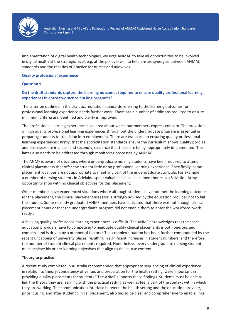

implementation of digital health technologies, we urge ANMAC to take all opportunities to be involved in digital health at the strategic level, e.g. at the policy level, to help ensure synergies between ANMAC standards and the realities of practice for nurses and midwives.

# **Quality professional experience**

# **Question 9**

# **Do the draft standards capture the learning outcomes required to ensure quality professional learning experiences in entry-to-practice nursing programs?**

The criterion outlined in the draft accreditation standards referring to the learning outcomes for professional learning experience needs further work. There are a number of additions required to ensure minimum criteria are identified and clarity is improved.

The professional learning experience is an area about which our members express concern. The provision of high quality professional learning experiences throughout the undergraduate program is essential in preparing students to transition into employment. There are two parts to ensuring quality professional learning experiences: firstly, that the accreditation standards ensure the curriculum shows quality policies and processes are in place, and secondly, evidence that these are being appropriately implemented. The latter also needs to be addressed through monitoring processes by ANMAC.

The ANMF is aware of situations where undergraduate nursing students have been required to attend clinical placements that offer the student little or no professional learning experience. Specifically, some placement localities are not appropriate to meet any part of the undergraduate curricula. For example, a number of nursing students in Adelaide spent valuable clinical placement hours in a Salvation Army opportunity shop with no clinical objectives for this placement.

Other members have experienced situations where although students have not met the learning outcomes for the placement, the clinical placement assessor is strongly advised by the education provider not to fail the student. Some recently graduated ANMF members have indicated that there was not enough clinical placement hours or that the undergraduate program did not enable them to enter the workforce 'work ready'.

Achieving quality professional learning experiences is difficult. The ANMF acknowledges that the space education providers have to compete in to negotiate quality clinical placements is both onerous and complex, and is driven by a number of factors.<sup>4</sup> This complex situation has been further compounded by the recent uncapping of university places, resulting in significant increases in student numbers, and therefore the number of student clinical placements required. Nonetheless, every undergraduate nursing student must achieve his or her learning objectives that align to the course content.

#### **Theory to practice**

A recent study completed in Australia recommended that appropriate sequencing of clinical experience in relation to theory, consistency of venue, and preparation for the health setting, were important in providing quality placements for students.<sup>5</sup> The ANMF supports these findings. Students must be able to link the theory they are learning with the practical setting as well as feel a part of the context within which they are working. The communication interface between the health setting and the education provider, prior, during, and after student clinical placement, also has to be clear and comprehensive to enable links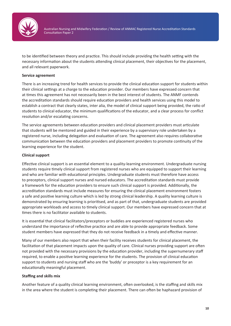

to be identified between theory and practice. This should include providing the health setting with the necessary information about the students attending clinical placement, their objectives for the placement, and all relevant paperwork.

# **Service agreement**

There is an increasing trend for health services to provide the clinical education support for students within their clinical settings at a charge to the education provider. Our members have expressed concern that at times this agreement has not necessarily been in the best interest of students. The ANMF contends the accreditation standards should require education providers and health services using this model to establish a contract that clearly states, inter alia, the model of clinical support being provided, the ratio of students to clinical educator, the minimum qualifications of the educator, and a clear process for conflict resolution and/or escalating concerns.

The service agreements between education providers and clinical placement providers must articulate that students will be mentored and guided in their experience by a supervisory role undertaken by a registered nurse, including delegation and evaluation of care. The agreement also requires collaborative communication between the education providers and placement providers to promote continuity of the learning experience for the student.

# **Clinical support**

Effective clinical support is an essential element to a quality-learning environment. Undergraduate nursing students require timely clinical support from registered nurses who are equipped to support their learning and who are familiar with educational principles. Undergraduate students must therefore have access to preceptors, clinical support nurses and nursed educators. The accreditation standards must provide a framework for the education providers to ensure such clinical support is provided. Additionally, the accreditation standards must include measures for ensuring the clinical placement environment fosters a safe and positive learning culture which is led by strong clinical leadership. A quality learning culture is demonstrated by ensuring learning is prioritised, and as part of that, undergraduate students are provided appropriate workloads and access to timely clinical support. Our members have expressed concern that at times there is no facilitator available to students.

It is essential that clinical facilitators/preceptors or buddies are experienced registered nurses who understand the importance of reflective practice and are able to provide appropriate feedback. Some student members have expressed that they do not receive feedback in a timely and effective manner.

Many of our members also report that when their facility receives students for clinical placement, the facilitation of that placement impacts upon the quality of care. Clinical nurses providing support are often not provided with the necessary provisions by the education provider, including the supernumerary staff required, to enable a positive learning experience for the students. The provision of clinical education support to students and nursing staff who are the 'buddy' or preceptor is a key requirement for an educationally meaningful placement.

#### **Staffing and skills mix**

Another feature of a quality clinical learning environment, often overlooked, is the staffing and skills mix in the area where the student is completing their placement. There can often be haphazard provision of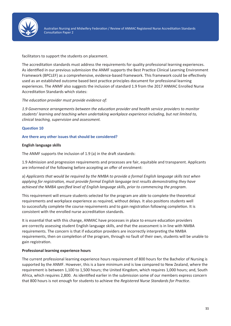

facilitators to support the students on placement.

The accreditation standards must address the requirements for quality professional learning experiences. As identified in our previous submission the ANMF supports the Best Practice Clinical Learning Environment Framework (BPCLEF) as a comprehensive, evidence-based framework. This framework could be effectively used as an established outcome based best practice principles document for professional learning experiences. The ANMF also suggests the inclusion of standard 1.9 from the 2017 ANMAC Enrolled Nurse Accreditation Standards which states:

*The education provider must provide evidence of:*

*1.9 Governance arrangements between the education provider and health service providers to monitor students' learning and teaching when undertaking workplace experience including, but not limited to, clinical teaching, supervision and assessment.*

# **Question 10**

# **Are there any other issues that should be considered?**

# **English language skills**

The ANMF supports the inclusion of 1.9 (a) in the draft standards:

1.9 Admission and progression requirements and processes are fair, equitable and transparent. Applicants are informed of the following before accepting an offer of enrolment:

a) *Applicants that would be required by the NMBA to provide a formal English language skills test when applying for registration, must provide formal English language test results demonstrating they have achieved the NMBA specified level of English language skills, prior to commencing the program*.

This requirement will ensure students selected for the program are able to complete the theoretical requirements and workplace experience as required, without delays. It also positions students well to successfully complete the course requirements and to gain registration following completion. It is consistent with the enrolled nurse accreditation standards.

It is essential that with this change, ANMAC have processes in place to ensure education providers are correctly assessing student English language skills, and that the assessment is in line with NMBA requirements. The concern is that if education providers are incorrectly interpreting the NMBA requirements, then on completion of the program, through no fault of their own, students will be unable to gain registration.

#### **Professional learning experience hours**

The current professional learning experience hours requirement of 800 hours for the Bachelor of Nursing is supported by the ANMF. However, this is a bare minimum and is low compared to New Zealand, where the requirement is between 1,100 to 1,500 hours; the United Kingdom, which requires 1,000 hours; and, South Africa, which requires 2,800. As identified earlier in the submission some of our members express concern that 800 hours is not enough for students to achieve the *Registered Nurse Standards for Practice*.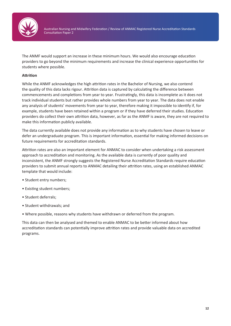

The ANMF would support an increase in these minimum hours. We would also encourage education providers to go beyond the minimum requirements and increase the clinical experience opportunities for students where possible.

# **Attrition**

While the ANMF acknowledges the high attrition rates in the Bachelor of Nursing, we also contend the quality of this data lacks rigour. Attrition data is captured by calculating the difference between commencements and completions from year to year. Frustratingly, this data is incomplete as it does not track individual students but rather provides whole numbers from year to year. The data does not enable any analysis of students' movements from year to year, therefore making it impossible to identify if, for example, students have been retained within a program or if they have deferred their studies. Education providers do collect their own attrition data, however, as far as the ANMF is aware, they are not required to make this information publicly available.

The data currently available does not provide any information as to why students have chosen to leave or defer an undergraduate program. This is important information, essential for making informed decisions on future requirements for accreditation standards.

Attrition rates are also an important element for ANMAC to consider when undertaking a risk assessment approach to accreditation and monitoring. As the available data is currently of poor quality and inconsistent, the ANMF strongly suggests the Registered Nurse Accreditation Standards require education providers to submit annual reports to ANMAC detailing their attrition rates, using an established ANMAC template that would include:

- Student entry numbers;
- Existing student numbers;
- Student deferrals;
- Student withdrawals; and
- Where possible, reasons why students have withdrawn or deferred from the program.

This data can then be analysed and themed to enable ANMAC to be better informed about how accreditation standards can potentially improve attrition rates and provide valuable data on accredited programs.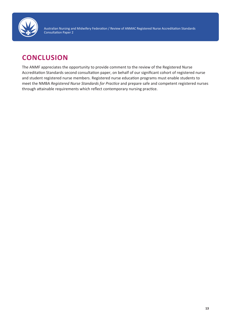

# **CONCLUSION**

The ANMF appreciates the opportunity to provide comment to the review of the Registered Nurse Accreditation Standards second consultation paper, on behalf of our significant cohort of registered nurse and student registered nurse members. Registered nurse education programs must enable students to meet the NMBA *Registered Nurse Standards for Practice* and prepare safe and competent registered nurses through attainable requirements which reflect contemporary nursing practice.